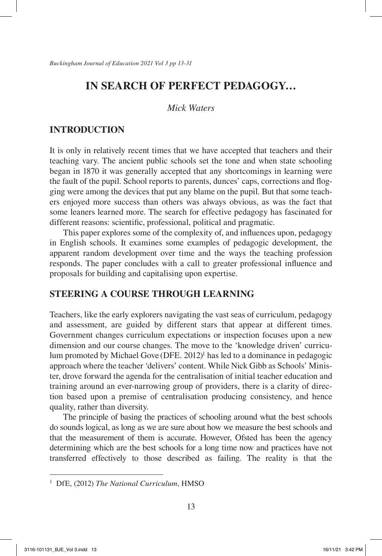### *Mick Waters*

# **INTRODUCTION**

It is only in relatively recent times that we have accepted that teachers and their teaching vary. The ancient public schools set the tone and when state schooling began in 1870 it was generally accepted that any shortcomings in learning were the fault of the pupil. School reports to parents, dunces' caps, corrections and flogging were among the devices that put any blame on the pupil. But that some teachers enjoyed more success than others was always obvious, as was the fact that some leaners learned more. The search for effective pedagogy has fascinated for different reasons: scientific, professional, political and pragmatic.

This paper explores some of the complexity of, and influences upon, pedagogy in English schools. It examines some examples of pedagogic development, the apparent random development over time and the ways the teaching profession responds. The paper concludes with a call to greater professional influence and proposals for building and capitalising upon expertise.

### **STEERING A COURSE THROUGH LEARNING**

Teachers, like the early explorers navigating the vast seas of curriculum, pedagogy and assessment, are guided by different stars that appear at different times. Government changes curriculum expectations or inspection focuses upon a new dimension and our course changes. The move to the 'knowledge driven' curriculum promoted by Michael Gove (DFE. 2012)<sup>1</sup> has led to a dominance in pedagogic approach where the teacher 'delivers' content. While Nick Gibb as Schools' Minister, drove forward the agenda for the centralisation of initial teacher education and training around an ever-narrowing group of providers, there is a clarity of direction based upon a premise of centralisation producing consistency, and hence quality, rather than diversity.

The principle of basing the practices of schooling around what the best schools do sounds logical, as long as we are sure about how we measure the best schools and that the measurement of them is accurate. However, Ofsted has been the agency determining which are the best schools for a long time now and practices have not transferred effectively to those described as failing. The reality is that the

<sup>1</sup> DfE, (2012) *The National Curriculum*, HMSO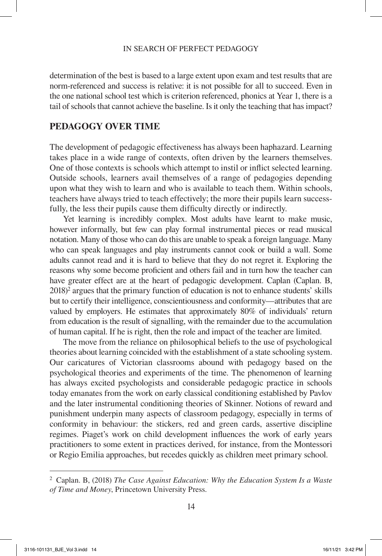determination of the best is based to a large extent upon exam and test results that are norm-referenced and success is relative: it is not possible for all to succeed. Even in the one national school test which is criterion referenced, phonics at Year 1, there is a tail of schools that cannot achieve the baseline. Is it only the teaching that has impact?

# **PEDAGOGY OVER TIME**

The development of pedagogic effectiveness has always been haphazard. Learning takes place in a wide range of contexts, often driven by the learners themselves. One of those contexts is schools which attempt to instil or inflict selected learning. Outside schools, learners avail themselves of a range of pedagogies depending upon what they wish to learn and who is available to teach them. Within schools, teachers have always tried to teach effectively; the more their pupils learn successfully, the less their pupils cause them difficulty directly or indirectly.

Yet learning is incredibly complex. Most adults have learnt to make music, however informally, but few can play formal instrumental pieces or read musical notation. Many of those who can do this are unable to speak a foreign language. Many who can speak languages and play instruments cannot cook or build a wall. Some adults cannot read and it is hard to believe that they do not regret it. Exploring the reasons why some become proficient and others fail and in turn how the teacher can have greater effect are at the heart of pedagogic development. Caplan (Caplan. B, 2018)<sup>2</sup> argues that the primary function of education is not to enhance students' skills but to certify their intelligence, conscientiousness and conformity—attributes that are valued by employers. He estimates that approximately 80% of individuals' return from education is the result of signalling, with the remainder due to the accumulation of human capital. If he is right, then the role and impact of the teacher are limited.

The move from the reliance on philosophical beliefs to the use of psychological theories about learning coincided with the establishment of a state schooling system. Our caricatures of Victorian classrooms abound with pedagogy based on the psychological theories and experiments of the time. The phenomenon of learning has always excited psychologists and considerable pedagogic practice in schools today emanates from the work on early classical conditioning established by Pavlov and the later instrumental conditioning theories of Skinner. Notions of reward and punishment underpin many aspects of classroom pedagogy, especially in terms of conformity in behaviour: the stickers, red and green cards, assertive discipline regimes. Piaget's work on child development influences the work of early years practitioners to some extent in practices derived, for instance, from the Montessori or Regio Emilia approaches, but recedes quickly as children meet primary school.

<sup>2</sup> Caplan. B, (2018) *The Case Against Education: Why the Education System Is a Waste of Time and Money*, Princetown University Press.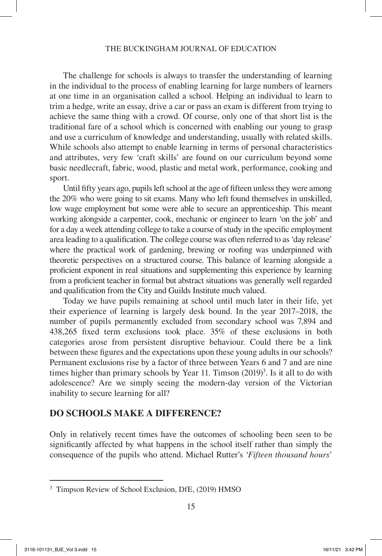#### THE BUCKINGHAM JOURNAL OF EDUCATION

The challenge for schools is always to transfer the understanding of learning in the individual to the process of enabling learning for large numbers of learners at one time in an organisation called a school. Helping an individual to learn to trim a hedge, write an essay, drive a car or pass an exam is different from trying to achieve the same thing with a crowd. Of course, only one of that short list is the traditional fare of a school which is concerned with enabling our young to grasp and use a curriculum of knowledge and understanding, usually with related skills. While schools also attempt to enable learning in terms of personal characteristics and attributes, very few 'craft skills' are found on our curriculum beyond some basic needlecraft, fabric, wood, plastic and metal work, performance, cooking and sport.

Until fifty years ago, pupils left school at the age of fifteen unless they were among the 20% who were going to sit exams. Many who left found themselves in unskilled, low wage employment but some were able to secure an apprenticeship. This meant working alongside a carpenter, cook, mechanic or engineer to learn 'on the job' and for a day a week attending college to take a course of study in the specific employment area leading to a qualification. The college course was often referred to as 'day release' where the practical work of gardening, brewing or roofing was underpinned with theoretic perspectives on a structured course. This balance of learning alongside a proficient exponent in real situations and supplementing this experience by learning from a proficient teacher in formal but abstract situations was generally well regarded and qualification from the City and Guilds Institute much valued.

Today we have pupils remaining at school until much later in their life, yet their experience of learning is largely desk bound. In the year 2017–2018, the number of pupils permanently excluded from secondary school was 7,894 and 438,265 fixed term exclusions took place. 35% of these exclusions in both categories arose from persistent disruptive behaviour. Could there be a link between these figures and the expectations upon these young adults in our schools? Permanent exclusions rise by a factor of three between Years 6 and 7 and are nine times higher than primary schools by Year 11. Timson  $(2019)^3$ . Is it all to do with adolescence? Are we simply seeing the modern-day version of the Victorian inability to secure learning for all?

# **DO SCHOOLS MAKE A DIFFERENCE?**

Only in relatively recent times have the outcomes of schooling been seen to be significantly affected by what happens in the school itself rather than simply the consequence of the pupils who attend. Michael Rutter's '*Fifteen thousand hours*'

<sup>3</sup> Timpson Review of School Exclusion, DfE, (2019) HMSO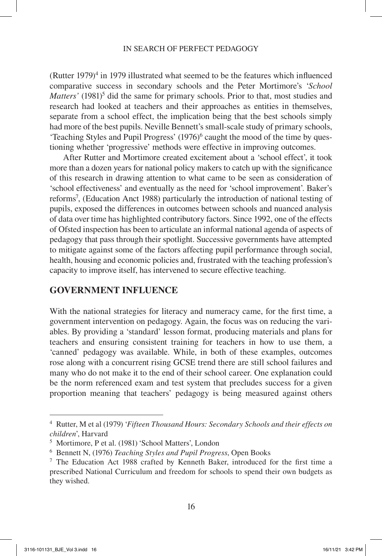(Rutter  $1979$ <sup>4</sup> in 1979 illustrated what seemed to be the features which influenced comparative success in secondary schools and the Peter Mortimore's '*School*  Matters' (1981)<sup>5</sup> did the same for primary schools. Prior to that, most studies and research had looked at teachers and their approaches as entities in themselves, separate from a school effect, the implication being that the best schools simply had more of the best pupils. Neville Bennett's small-scale study of primary schools, 'Teaching Styles and Pupil Progress' (1976)<sup>6</sup> caught the mood of the time by questioning whether 'progressive' methods were effective in improving outcomes.

After Rutter and Mortimore created excitement about a 'school effect', it took more than a dozen years for national policy makers to catch up with the significance of this research in drawing attention to what came to be seen as consideration of 'school effectiveness' and eventually as the need for 'school improvement'. Baker's reforms7 , (Education Anct 1988) particularly the introduction of national testing of pupils, exposed the differences in outcomes between schools and nuanced analysis of data over time has highlighted contributory factors. Since 1992, one of the effects of Ofsted inspection has been to articulate an informal national agenda of aspects of pedagogy that pass through their spotlight. Successive governments have attempted to mitigate against some of the factors affecting pupil performance through social, health, housing and economic policies and, frustrated with the teaching profession's capacity to improve itself, has intervened to secure effective teaching.

### **GOVERNMENT INFLUENCE**

With the national strategies for literacy and numeracy came, for the first time, a government intervention on pedagogy. Again, the focus was on reducing the variables. By providing a 'standard' lesson format, producing materials and plans for teachers and ensuring consistent training for teachers in how to use them, a 'canned' pedagogy was available. While, in both of these examples, outcomes rose along with a concurrent rising GCSE trend there are still school failures and many who do not make it to the end of their school career. One explanation could be the norm referenced exam and test system that precludes success for a given proportion meaning that teachers' pedagogy is being measured against others

<sup>4</sup> Rutter, M et al (1979) '*Fifteen Thousand Hours: Secondary Schools and their effects on children*', Harvard

<sup>5</sup> Mortimore, P et al. (1981)'School Matters', London

<sup>6</sup> Bennett N, (1976) *Teaching Styles and Pupil Progress*, Open Books

 $7$  The Education Act 1988 crafted by Kenneth Baker, introduced for the first time a prescribed National Curriculum and freedom for schools to spend their own budgets as they wished.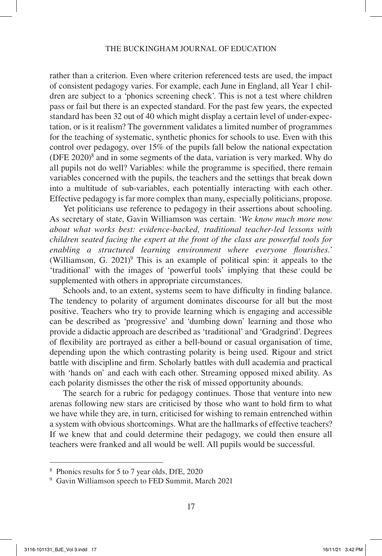rather than a criterion. Even where criterion referenced tests are used, the impact of consistent pedagogy varies. For example, each June in England, all Year 1 children are subject to a 'phonics screening check'. This is not a test where children pass or fail but there is an expected standard. For the past few years, the expected standard has been 32 out of 40 which might display a certain level of under-expectation, or is it realism? The government validates a limited number of programmes for the teaching of systematic, synthetic phonics for schools to use. Even with this control over pedagogy, over 15% of the pupils fall below the national expectation (DFE  $2020$ )<sup>8</sup> and in some segments of the data, variation is very marked. Why do all pupils not do well? Variables: while the programme is specified, there remain variables concerned with the pupils, the teachers and the settings that break down into a multitude of sub-variables, each potentially interacting with each other. Effective pedagogy is far more complex than many, especially politicians, propose.

Yet politicians use reference to pedagogy in their assertions about schooling. As secretary of state, Gavin Williamson was certain. '*We know much more now about what works best: evidence-backed, traditional teacher-led lessons with children seated facing the expert at the front of the class are powerful tools for enabling a structured learning environment where everyone flourishes.'* (Williamson, G. 2021)<sup>9</sup> This is an example of political spin: it appeals to the 'traditional' with the images of 'powerful tools' implying that these could be supplemented with others in appropriate circumstances.

Schools and, to an extent, systems seem to have difficulty in finding balance. The tendency to polarity of argument dominates discourse for all but the most positive. Teachers who try to provide learning which is engaging and accessible can be described as 'progressive' and 'dumbing down' learning and those who provide a didactic approach are described as 'traditional' and 'Gradgrind'. Degrees of flexibility are portrayed as either a bell-bound or casual organisation of time, depending upon the which contrasting polarity is being used. Rigour and strict battle with discipline and firm. Scholarly battles with dull academia and practical with 'hands on' and each with each other. Streaming opposed mixed ability. As each polarity dismisses the other the risk of missed opportunity abounds.

The search for a rubric for pedagogy continues. Those that venture into new arenas following new stars are criticised by those who want to hold firm to what we have while they are, in turn, criticised for wishing to remain entrenched within a system with obvious shortcomings. What are the hallmarks of effective teachers? If we knew that and could determine their pedagogy, we could then ensure all teachers were franked and all would be well. All pupils would be successful.

<sup>8</sup> Phonics results for 5 to 7 year olds, DfE, 2020

<sup>&</sup>lt;sup>9</sup> Gavin Williamson speech to FED Summit, March 2021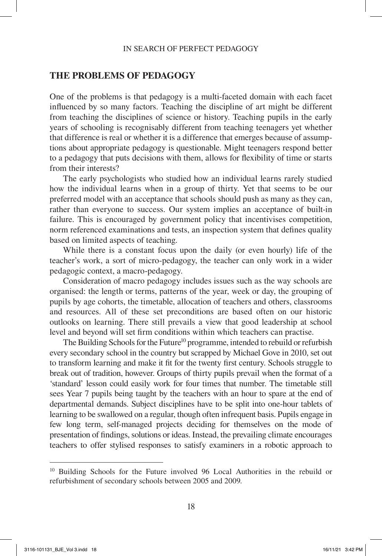### **THE PROBLEMS OF PEDAGOGY**

One of the problems is that pedagogy is a multi-faceted domain with each facet influenced by so many factors. Teaching the discipline of art might be different from teaching the disciplines of science or history. Teaching pupils in the early years of schooling is recognisably different from teaching teenagers yet whether that difference is real or whether it is a difference that emerges because of assumptions about appropriate pedagogy is questionable. Might teenagers respond better to a pedagogy that puts decisions with them, allows for flexibility of time or starts from their interests?

The early psychologists who studied how an individual learns rarely studied how the individual learns when in a group of thirty. Yet that seems to be our preferred model with an acceptance that schools should push as many as they can, rather than everyone to success. Our system implies an acceptance of built-in failure. This is encouraged by government policy that incentivises competition, norm referenced examinations and tests, an inspection system that defines quality based on limited aspects of teaching.

While there is a constant focus upon the daily (or even hourly) life of the teacher's work, a sort of micro-pedagogy, the teacher can only work in a wider pedagogic context, a macro-pedagogy.

Consideration of macro pedagogy includes issues such as the way schools are organised: the length or terms, patterns of the year, week or day, the grouping of pupils by age cohorts, the timetable, allocation of teachers and others, classrooms and resources. All of these set preconditions are based often on our historic outlooks on learning. There still prevails a view that good leadership at school level and beyond will set firm conditions within which teachers can practise.

The Building Schools for the Future<sup>10</sup> programme, intended to rebuild or refurbish every secondary school in the country but scrapped by Michael Gove in 2010, set out to transform learning and make it fit for the twenty first century. Schools struggle to break out of tradition, however. Groups of thirty pupils prevail when the format of a 'standard' lesson could easily work for four times that number. The timetable still sees Year 7 pupils being taught by the teachers with an hour to spare at the end of departmental demands. Subject disciplines have to be split into one-hour tablets of learning to be swallowed on a regular, though often infrequent basis. Pupils engage in few long term, self-managed projects deciding for themselves on the mode of presentation of findings, solutions or ideas. Instead, the prevailing climate encourages teachers to offer stylised responses to satisfy examiners in a robotic approach to

<sup>10</sup> Building Schools for the Future involved 96 Local Authorities in the rebuild or refurbishment of secondary schools between 2005 and 2009.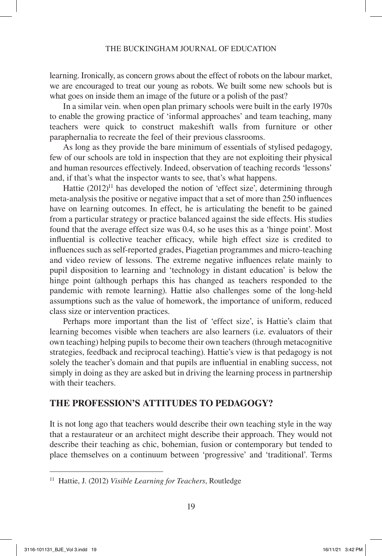learning. Ironically, as concern grows about the effect of robots on the labour market, we are encouraged to treat our young as robots. We built some new schools but is what goes on inside them an image of the future or a polish of the past?

In a similar vein. when open plan primary schools were built in the early 1970s to enable the growing practice of 'informal approaches' and team teaching, many teachers were quick to construct makeshift walls from furniture or other paraphernalia to recreate the feel of their previous classrooms.

As long as they provide the bare minimum of essentials of stylised pedagogy, few of our schools are told in inspection that they are not exploiting their physical and human resources effectively. Indeed, observation of teaching records 'lessons' and, if that's what the inspector wants to see, that's what happens.

Hattie  $(2012)^{11}$  has developed the notion of 'effect size', determining through meta-analysis the positive or negative impact that a set of more than 250 influences have on learning outcomes. In effect, he is articulating the benefit to be gained from a particular strategy or practice balanced against the side effects. His studies found that the average effect size was 0.4, so he uses this as a 'hinge point'. Most influential is collective teacher efficacy, while high effect size is credited to influences such as self-reported grades, Piagetian programmes and micro-teaching and video review of lessons. The extreme negative influences relate mainly to pupil disposition to learning and 'technology in distant education' is below the hinge point (although perhaps this has changed as teachers responded to the pandemic with remote learning). Hattie also challenges some of the long-held assumptions such as the value of homework, the importance of uniform, reduced class size or intervention practices.

Perhaps more important than the list of 'effect size', is Hattie's claim that learning becomes visible when teachers are also learners (i.e. evaluators of their own teaching) helping pupils to become their own teachers (through metacognitive strategies, feedback and reciprocal teaching). Hattie's view is that pedagogy is not solely the teacher's domain and that pupils are influential in enabling success, not simply in doing as they are asked but in driving the learning process in partnership with their teachers.

# **THE PROFESSION'S ATTITUDES TO PEDAGOGY?**

It is not long ago that teachers would describe their own teaching style in the way that a restaurateur or an architect might describe their approach. They would not describe their teaching as chic, bohemian, fusion or contemporary but tended to place themselves on a continuum between 'progressive' and 'traditional'. Terms

<sup>11</sup> Hattie, J. (2012) *Visible Learning for Teachers*, Routledge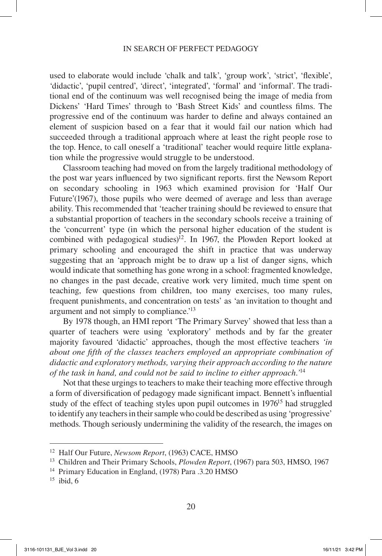used to elaborate would include 'chalk and talk', 'group work', 'strict', 'flexible', 'didactic', 'pupil centred', 'direct', 'integrated', 'formal' and 'informal'. The traditional end of the continuum was well recognised being the image of media from Dickens' 'Hard Times' through to 'Bash Street Kids' and countless films. The progressive end of the continuum was harder to define and always contained an element of suspicion based on a fear that it would fail our nation which had succeeded through a traditional approach where at least the right people rose to the top. Hence, to call oneself a 'traditional' teacher would require little explanation while the progressive would struggle to be understood.

Classroom teaching had moved on from the largely traditional methodology of the post war years influenced by two significant reports. first the Newsom Report on secondary schooling in 1963 which examined provision for 'Half Our Future'(1967), those pupils who were deemed of average and less than average ability. This recommended that 'teacher training should be reviewed to ensure that a substantial proportion of teachers in the secondary schools receive a training of the 'concurrent' type (in which the personal higher education of the student is combined with pedagogical studies)<sup>12</sup>. In 1967, the Plowden Report looked at primary schooling and encouraged the shift in practice that was underway suggesting that an 'approach might be to draw up a list of danger signs, which would indicate that something has gone wrong in a school: fragmented knowledge, no changes in the past decade, creative work very limited, much time spent on teaching, few questions from children, too many exercises, too many rules, frequent punishments, and concentration on tests' as 'an invitation to thought and argument and not simply to compliance.'13

By 1978 though, an HMI report 'The Primary Survey' showed that less than a quarter of teachers were using 'exploratory' methods and by far the greater majority favoured 'didactic' approaches, though the most effective teachers *'in about one fifth of the classes teachers employed an appropriate combination of didactic and exploratory methods, varying their approach according to the nature of the task in hand, and could not be said to incline to either approach.'*<sup>14</sup>

Not that these urgings to teachers to make their teaching more effective through a form of diversification of pedagogy made significant impact. Bennett's influential study of the effect of teaching styles upon pupil outcomes in 1976<sup>15</sup> had struggled to identify any teachers in their sample who could be described as using 'progressive' methods. Though seriously undermining the validity of the research, the images on

 $15$  ibid, 6

<sup>12</sup> Half Our Future, *Newsom Report*, (1963) CACE, HMSO

<sup>13</sup> Children and Their Primary Schools, *Plowden Report*, (1967) para 503, HMSO, 1967

<sup>&</sup>lt;sup>14</sup> Primary Education in England, (1978) Para .3.20 HMSO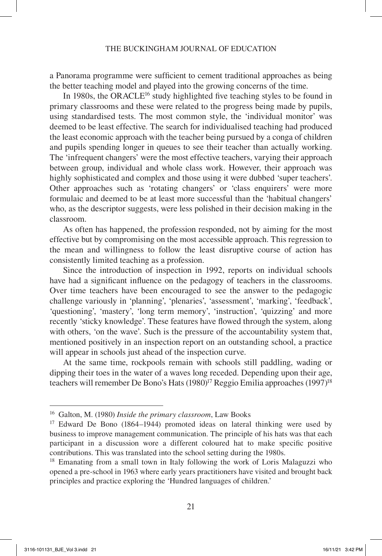a Panorama programme were sufficient to cement traditional approaches as being the better teaching model and played into the growing concerns of the time.

In 1980s, the ORACLE<sup>16</sup> study highlighted five teaching styles to be found in primary classrooms and these were related to the progress being made by pupils, using standardised tests. The most common style, the 'individual monitor' was deemed to be least effective. The search for individualised teaching had produced the least economic approach with the teacher being pursued by a conga of children and pupils spending longer in queues to see their teacher than actually working. The 'infrequent changers' were the most effective teachers, varying their approach between group, individual and whole class work. However, their approach was highly sophisticated and complex and those using it were dubbed 'super teachers'. Other approaches such as 'rotating changers' or 'class enquirers' were more formulaic and deemed to be at least more successful than the 'habitual changers' who, as the descriptor suggests, were less polished in their decision making in the classroom.

As often has happened, the profession responded, not by aiming for the most effective but by compromising on the most accessible approach. This regression to the mean and willingness to follow the least disruptive course of action has consistently limited teaching as a profession.

Since the introduction of inspection in 1992, reports on individual schools have had a significant influence on the pedagogy of teachers in the classrooms. Over time teachers have been encouraged to see the answer to the pedagogic challenge variously in 'planning', 'plenaries', 'assessment', 'marking', 'feedback', 'questioning', 'mastery', 'long term memory', 'instruction', 'quizzing' and more recently 'sticky knowledge'. These features have flowed through the system, along with others, 'on the wave'. Such is the pressure of the accountability system that, mentioned positively in an inspection report on an outstanding school, a practice will appear in schools just ahead of the inspection curve.

At the same time, rockpools remain with schools still paddling, wading or dipping their toes in the water of a waves long receded. Depending upon their age, teachers will remember De Bono's Hats (1980)<sup>17</sup> Reggio Emilia approaches (1997)<sup>18</sup>

<sup>16</sup> Galton, M. (1980) *Inside the primary classroom*, Law Books

<sup>&</sup>lt;sup>17</sup> Edward De Bono (1864–1944) promoted ideas on lateral thinking were used by business to improve management communication. The principle of his hats was that each participant in a discussion wore a different coloured hat to make specific positive contributions. This was translated into the school setting during the 1980s.

<sup>&</sup>lt;sup>18</sup> Emanating from a small town in Italy following the work of Loris Malaguzzi who opened a pre-school in 1963 where early years practitioners have visited and brought back principles and practice exploring the 'Hundred languages of children.'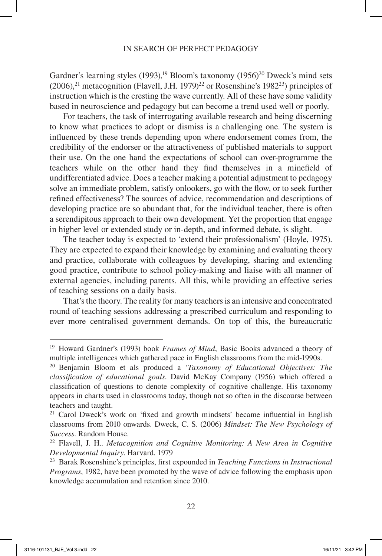Gardner's learning styles (1993),<sup>19</sup> Bloom's taxonomy (1956)<sup>20</sup> Dweck's mind sets  $(2006)$ ,<sup>21</sup> metacognition (Flavell, J.H. 1979)<sup>22</sup> or Rosenshine's 1982<sup>23</sup>) principles of instruction which is the cresting the wave currently. All of these have some validity based in neuroscience and pedagogy but can become a trend used well or poorly.

For teachers, the task of interrogating available research and being discerning to know what practices to adopt or dismiss is a challenging one. The system is influenced by these trends depending upon where endorsement comes from, the credibility of the endorser or the attractiveness of published materials to support their use. On the one hand the expectations of school can over-programme the teachers while on the other hand they find themselves in a minefield of undifferentiated advice. Does a teacher making a potential adjustment to pedagogy solve an immediate problem, satisfy onlookers, go with the flow, or to seek further refined effectiveness? The sources of advice, recommendation and descriptions of developing practice are so abundant that, for the individual teacher, there is often a serendipitous approach to their own development. Yet the proportion that engage in higher level or extended study or in-depth, and informed debate, is slight.

The teacher today is expected to 'extend their professionalism' (Hoyle, 1975). They are expected to expand their knowledge by examining and evaluating theory and practice, collaborate with colleagues by developing, sharing and extending good practice, contribute to school policy-making and liaise with all manner of external agencies, including parents. All this, while providing an effective series of teaching sessions on a daily basis.

That's the theory. The reality for many teachers is an intensive and concentrated round of teaching sessions addressing a prescribed curriculum and responding to ever more centralised government demands. On top of this, the bureaucratic

<sup>19</sup> Howard Gardner's (1993) book *Frames of Mind*, Basic Books advanced a theory of multiple intelligences which gathered pace in English classrooms from the mid-1990s.

<sup>20</sup> Benjamin Bloom et als produced a '*Taxonomy of Educational Objectives: The classification of educational goals*. David McKay Company (1956) which offered a classification of questions to denote complexity of cognitive challenge. His taxonomy appears in charts used in classrooms today, though not so often in the discourse between teachers and taught.

<sup>&</sup>lt;sup>21</sup> Carol Dweck's work on 'fixed and growth mindsets' became influential in English classrooms from 2010 onwards. Dweck, C. S. (2006) *Mindset: The New Psychology of Success*. Random House.

<sup>22</sup> Flavell, J. H.. *Metacognition and Cognitive Monitoring: A New Area in Cognitive Developmental Inquiry*. Harvard. 1979

<sup>23</sup> Barak Rosenshine's principles, first expounded in *Teaching Functions in Instructional Programs*, 1982, have been promoted by the wave of advice following the emphasis upon knowledge accumulation and retention since 2010.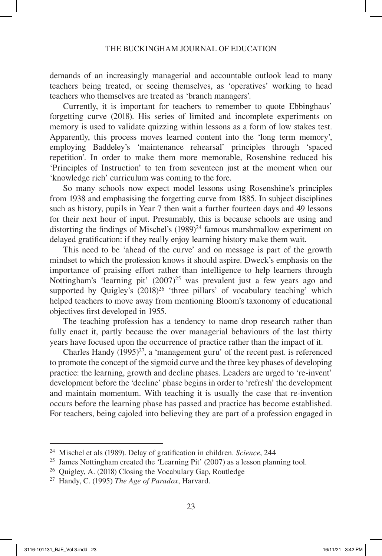demands of an increasingly managerial and accountable outlook lead to many teachers being treated, or seeing themselves, as 'operatives' working to head teachers who themselves are treated as 'branch managers'.

Currently, it is important for teachers to remember to quote Ebbinghaus' forgetting curve (2018). His series of limited and incomplete experiments on memory is used to validate quizzing within lessons as a form of low stakes test. Apparently, this process moves learned content into the 'long term memory', employing Baddeley's 'maintenance rehearsal' principles through 'spaced repetition'. In order to make them more memorable, Rosenshine reduced his 'Principles of Instruction' to ten from seventeen just at the moment when our 'knowledge rich' curriculum was coming to the fore.

So many schools now expect model lessons using Rosenshine's principles from 1938 and emphasising the forgetting curve from 1885. In subject disciplines such as history, pupils in Year 7 then wait a further fourteen days and 49 lessons for their next hour of input. Presumably, this is because schools are using and distorting the findings of Mischel's  $(1989)^{24}$  famous marshmallow experiment on delayed gratification: if they really enjoy learning history make them wait.

This need to be 'ahead of the curve' and on message is part of the growth mindset to which the profession knows it should aspire. Dweck's emphasis on the importance of praising effort rather than intelligence to help learners through Nottingham's 'learning pit' (2007)<sup>25</sup> was prevalent just a few years ago and supported by Quigley's  $(2018)^{26}$  'three pillars' of vocabulary teaching' which helped teachers to move away from mentioning Bloom's taxonomy of educational objectives first developed in 1955.

The teaching profession has a tendency to name drop research rather than fully enact it, partly because the over managerial behaviours of the last thirty years have focused upon the occurrence of practice rather than the impact of it.

Charles Handy  $(1995)^{27}$ , a 'management guru' of the recent past. is referenced to promote the concept of the sigmoid curve and the three key phases of developing practice: the learning, growth and decline phases. Leaders are urged to 're-invent' development before the 'decline' phase begins in order to 'refresh' the development and maintain momentum. With teaching it is usually the case that re-invention occurs before the learning phase has passed and practice has become established. For teachers, being cajoled into believing they are part of a profession engaged in

<sup>24</sup> Mischel et als (1989). Delay of gratification in children. *Science*, 244

<sup>&</sup>lt;sup>25</sup> James Nottingham created the 'Learning Pit'  $(2007)$  as a lesson planning tool.

<sup>26</sup> Quigley, A. (2018) Closing the Vocabulary Gap, Routledge

<sup>27</sup> Handy, C. (1995) *The Age of Paradox*, Harvard.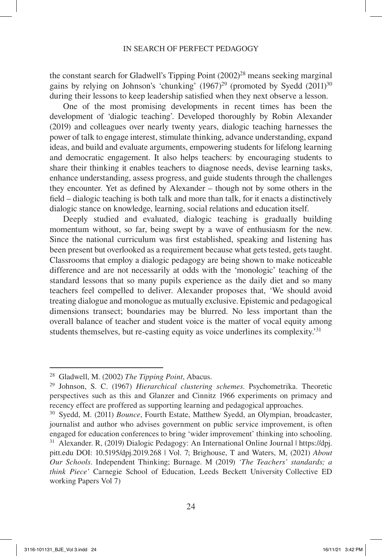the constant search for Gladwell's Tipping Point (2002)<sup>28</sup> means seeking marginal gains by relying on Johnson's 'chunking'  $(1967)^{29}$  (promoted by Syedd  $(2011)^{30}$ ) during their lessons to keep leadership satisfied when they next observe a lesson.

One of the most promising developments in recent times has been the development of 'dialogic teaching'. Developed thoroughly by Robin Alexander (2019) and colleagues over nearly twenty years, dialogic teaching harnesses the power of talk to engage interest, stimulate thinking, advance understanding, expand ideas, and build and evaluate arguments, empowering students for lifelong learning and democratic engagement. It also helps teachers: by encouraging students to share their thinking it enables teachers to diagnose needs, devise learning tasks, enhance understanding, assess progress, and guide students through the challenges they encounter. Yet as defined by Alexander – though not by some others in the field – dialogic teaching is both talk and more than talk, for it enacts a distinctively dialogic stance on knowledge, learning, social relations and education itself.

Deeply studied and evaluated, dialogic teaching is gradually building momentum without, so far, being swept by a wave of enthusiasm for the new. Since the national curriculum was first established, speaking and listening has been present but overlooked as a requirement because what gets tested, gets taught. Classrooms that employ a dialogic pedagogy are being shown to make noticeable difference and are not necessarily at odds with the 'monologic' teaching of the standard lessons that so many pupils experience as the daily diet and so many teachers feel compelled to deliver. Alexander proposes that, 'We should avoid treating dialogue and monologue as mutually exclusive. Epistemic and pedagogical dimensions transect; boundaries may be blurred. No less important than the overall balance of teacher and student voice is the matter of vocal equity among students themselves, but re-casting equity as voice underlines its complexity.'31

<sup>28</sup> Gladwell, M. (2002) *The Tipping Point*, Abacus.

<sup>29</sup> Johnson, S. C. (1967) *Hierarchical clustering schemes*. Psychometrika. Theoretic perspectives such as this and Glanzer and Cinnitz 1966 experiments on primacy and recency effect are proffered as supporting learning and pedagogical approaches.

<sup>30</sup> Syedd, M. (2011) *Bounce*, Fourth Estate, Matthew Syedd, an Olympian, broadcaster, journalist and author who advises government on public service improvement, is often engaged for education conferences to bring 'wider improvement' thinking into schooling. <sup>31</sup> Alexander. R, (2019) Dialogic Pedagogy: An International Online Journal | https://dpj.

pitt.edu DOI: 10.5195/dpj.2019.268 | Vol. 7; Brighouse, T and Waters, M, (2021) *About Our Schools*. Independent Thinking; Burnage. M (2019) *'The Teachers' standards; a think Piece'* Carnegie School of Education, Leeds Beckett University Collective ED working Papers Vol 7)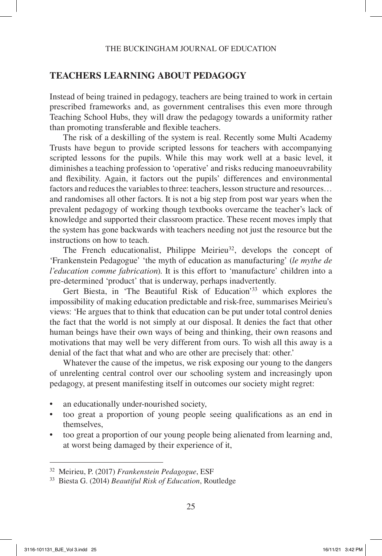# **TEACHERS LEARNING ABOUT PEDAGOGY**

Instead of being trained in pedagogy, teachers are being trained to work in certain prescribed frameworks and, as government centralises this even more through Teaching School Hubs, they will draw the pedagogy towards a uniformity rather than promoting transferable and flexible teachers.

The risk of a deskilling of the system is real. Recently some Multi Academy Trusts have begun to provide scripted lessons for teachers with accompanying scripted lessons for the pupils. While this may work well at a basic level, it diminishes a teaching profession to 'operative' and risks reducing manoeuvrability and flexibility. Again, it factors out the pupils' differences and environmental factors and reduces the variables to three: teachers, lesson structure and resources… and randomises all other factors. It is not a big step from post war years when the prevalent pedagogy of working though textbooks overcame the teacher's lack of knowledge and supported their classroom practice. These recent moves imply that the system has gone backwards with teachers needing not just the resource but the instructions on how to teach.

The French educationalist, Philippe Meirieu<sup>32</sup>, develops the concept of 'Frankenstein Pedagogue' 'the myth of education as manufacturing' (*le mythe de l'education comme fabrication*). It is this effort to 'manufacture' children into a pre-determined 'product' that is underway, perhaps inadvertently.

Gert Biesta, in 'The Beautiful Risk of Education'33 which explores the impossibility of making education predictable and risk-free, summarises Meirieu's views: 'He argues that to think that education can be put under total control denies the fact that the world is not simply at our disposal. It denies the fact that other human beings have their own ways of being and thinking, their own reasons and motivations that may well be very different from ours. To wish all this away is a denial of the fact that what and who are other are precisely that: other.'

Whatever the cause of the impetus, we risk exposing our young to the dangers of unrelenting central control over our schooling system and increasingly upon pedagogy, at present manifesting itself in outcomes our society might regret:

- an educationally under-nourished society,
- too great a proportion of young people seeing qualifications as an end in themselves,
- too great a proportion of our young people being alienated from learning and, at worst being damaged by their experience of it,

<sup>32</sup> Meirieu, P. (2017) *Frankenstein Pedagogue*, ESF

<sup>33</sup> Biesta G. (2014) *Beautiful Risk of Education*, Routledge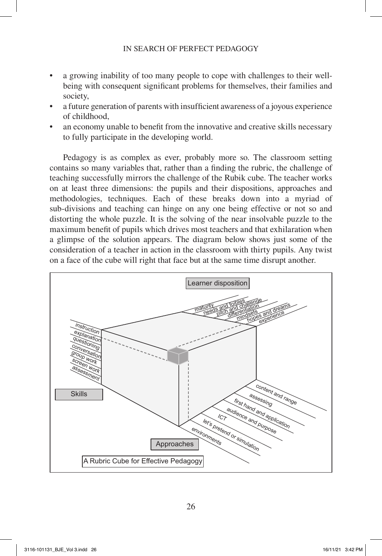- a growing inability of too many people to cope with challenges to their wellbeing with consequent significant problems for themselves, their families and society,
- a future generation of parents with insufficient awareness of a joyous experience of childhood,
- an economy unable to benefit from the innovative and creative skills necessary to fully participate in the developing world.

Pedagogy is as complex as ever, probably more so. The classroom setting contains so many variables that, rather than a finding the rubric, the challenge of teaching successfully mirrors the challenge of the Rubik cube. The teacher works on at least three dimensions: the pupils and their dispositions, approaches and methodologies, techniques. Each of these breaks down into a myriad of sub-divisions and teaching can hinge on any one being effective or not so and distorting the whole puzzle. It is the solving of the near insolvable puzzle to the maximum benefit of pupils which drives most teachers and that exhilaration when a glimpse of the solution appears. The diagram below shows just some of the consideration of a teacher in action in the classroom with thirty pupils. Any twist on a face of the cube will right that face but at the same time disrupt another.

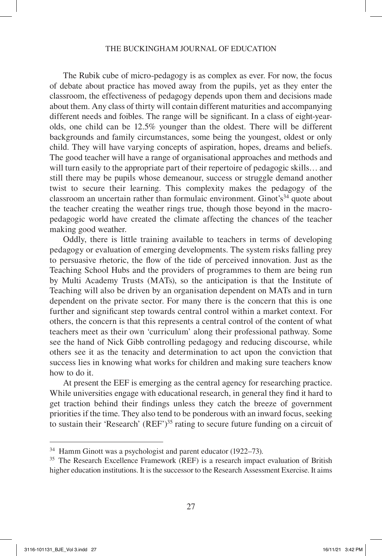#### THE BUCKINGHAM JOURNAL OF EDUCATION

The Rubik cube of micro-pedagogy is as complex as ever. For now, the focus of debate about practice has moved away from the pupils, yet as they enter the classroom, the effectiveness of pedagogy depends upon them and decisions made about them. Any class of thirty will contain different maturities and accompanying different needs and foibles. The range will be significant. In a class of eight-yearolds, one child can be 12.5% younger than the oldest. There will be different backgrounds and family circumstances, some being the youngest, oldest or only child. They will have varying concepts of aspiration, hopes, dreams and beliefs. The good teacher will have a range of organisational approaches and methods and will turn easily to the appropriate part of their repertoire of pedagogic skills… and still there may be pupils whose demeanour, success or struggle demand another twist to secure their learning. This complexity makes the pedagogy of the classroom an uncertain rather than formulaic environment. Ginot's<sup>34</sup> quote about the teacher creating the weather rings true, though those beyond in the macropedagogic world have created the climate affecting the chances of the teacher making good weather.

Oddly, there is little training available to teachers in terms of developing pedagogy or evaluation of emerging developments. The system risks falling prey to persuasive rhetoric, the flow of the tide of perceived innovation. Just as the Teaching School Hubs and the providers of programmes to them are being run by Multi Academy Trusts (MATs), so the anticipation is that the Institute of Teaching will also be driven by an organisation dependent on MATs and in turn dependent on the private sector. For many there is the concern that this is one further and significant step towards central control within a market context. For others, the concern is that this represents a central control of the content of what teachers meet as their own 'curriculum' along their professional pathway. Some see the hand of Nick Gibb controlling pedagogy and reducing discourse, while others see it as the tenacity and determination to act upon the conviction that success lies in knowing what works for children and making sure teachers know how to do it.

At present the EEF is emerging as the central agency for researching practice. While universities engage with educational research, in general they find it hard to get traction behind their findings unless they catch the breeze of government priorities if the time. They also tend to be ponderous with an inward focus, seeking to sustain their 'Research' (REF')35 rating to secure future funding on a circuit of

<sup>34</sup> Hamm Ginott was a psychologist and parent educator (1922–73).

<sup>35</sup> The Research Excellence Framework (REF) is a research impact evaluation of British higher education institutions. It is the successor to the Research Assessment Exercise. It aims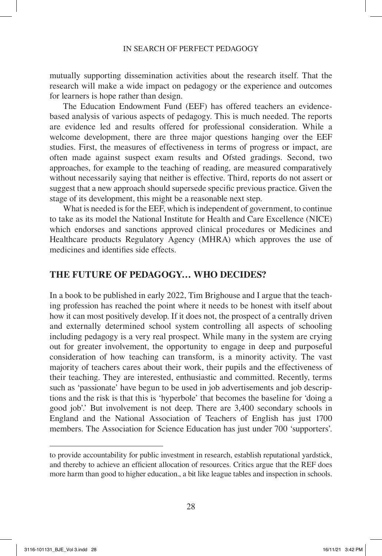mutually supporting dissemination activities about the research itself. That the research will make a wide impact on pedagogy or the experience and outcomes for learners is hope rather than design.

The Education Endowment Fund (EEF) has offered teachers an evidencebased analysis of various aspects of pedagogy. This is much needed. The reports are evidence led and results offered for professional consideration. While a welcome development, there are three major questions hanging over the EEF studies. First, the measures of effectiveness in terms of progress or impact, are often made against suspect exam results and Ofsted gradings. Second, two approaches, for example to the teaching of reading, are measured comparatively without necessarily saying that neither is effective. Third, reports do not assert or suggest that a new approach should supersede specific previous practice. Given the stage of its development, this might be a reasonable next step.

What is needed is for the EEF, which is independent of government, to continue to take as its model the National Institute for Health and Care Excellence (NICE) which endorses and sanctions approved clinical procedures or Medicines and Healthcare products Regulatory Agency (MHRA) which approves the use of medicines and identifies side effects.

### **THE FUTURE OF PEDAGOGY… WHO DECIDES?**

In a book to be published in early 2022, Tim Brighouse and I argue that the teaching profession has reached the point where it needs to be honest with itself about how it can most positively develop. If it does not, the prospect of a centrally driven and externally determined school system controlling all aspects of schooling including pedagogy is a very real prospect. While many in the system are crying out for greater involvement, the opportunity to engage in deep and purposeful consideration of how teaching can transform, is a minority activity. The vast majority of teachers cares about their work, their pupils and the effectiveness of their teaching. They are interested, enthusiastic and committed. Recently, terms such as 'passionate' have begun to be used in job advertisements and job descriptions and the risk is that this is 'hyperbole' that becomes the baseline for 'doing a good job'.' But involvement is not deep. There are 3,400 secondary schools in England and the National Association of Teachers of English has just 1700 members. The Association for Science Education has just under 700 'supporters'.

to provide accountability for public investment in research, establish reputational yardstick, and thereby to achieve an efficient allocation of resources. Critics argue that the REF does more harm than good to higher education., a bit like league tables and inspection in schools.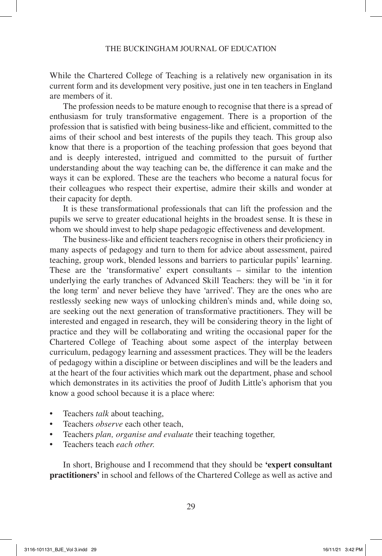While the Chartered College of Teaching is a relatively new organisation in its current form and its development very positive, just one in ten teachers in England are members of it.

The profession needs to be mature enough to recognise that there is a spread of enthusiasm for truly transformative engagement. There is a proportion of the profession that is satisfied with being business-like and efficient, committed to the aims of their school and best interests of the pupils they teach. This group also know that there is a proportion of the teaching profession that goes beyond that and is deeply interested, intrigued and committed to the pursuit of further understanding about the way teaching can be, the difference it can make and the ways it can be explored. These are the teachers who become a natural focus for their colleagues who respect their expertise, admire their skills and wonder at their capacity for depth.

It is these transformational professionals that can lift the profession and the pupils we serve to greater educational heights in the broadest sense. It is these in whom we should invest to help shape pedagogic effectiveness and development.

The business-like and efficient teachers recognise in others their proficiency in many aspects of pedagogy and turn to them for advice about assessment, paired teaching, group work, blended lessons and barriers to particular pupils' learning. These are the 'transformative' expert consultants – similar to the intention underlying the early tranches of Advanced Skill Teachers: they will be 'in it for the long term' and never believe they have 'arrived'. They are the ones who are restlessly seeking new ways of unlocking children's minds and, while doing so, are seeking out the next generation of transformative practitioners. They will be interested and engaged in research, they will be considering theory in the light of practice and they will be collaborating and writing the occasional paper for the Chartered College of Teaching about some aspect of the interplay between curriculum, pedagogy learning and assessment practices. They will be the leaders of pedagogy within a discipline or between disciplines and will be the leaders and at the heart of the four activities which mark out the department, phase and school which demonstrates in its activities the proof of Judith Little's aphorism that you know a good school because it is a place where:

- Teachers *talk* about teaching,
- Teachers *observe* each other teach,
- Teachers *plan, organise and evaluate* their teaching together*,*
- Teachers teach *each other.*

In short, Brighouse and I recommend that they should be **'expert consultant practitioners'** in school and fellows of the Chartered College as well as active and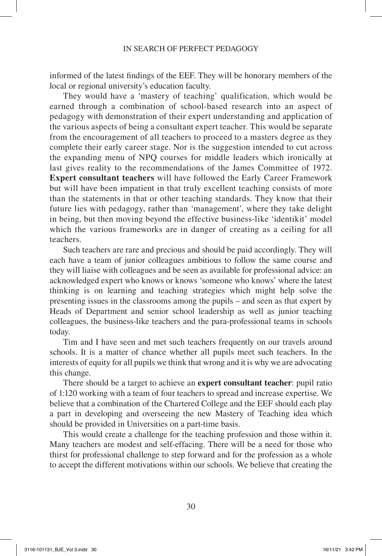informed of the latest findings of the EEF. They will be honorary members of the local or regional university's education faculty.

They would have a 'mastery of teaching' qualification, which would be earned through a combination of school-based research into an aspect of pedagogy with demonstration of their expert understanding and application of the various aspects of being a consultant expert teacher. This would be separate from the encouragement of all teachers to proceed to a masters degree as they complete their early career stage. Nor is the suggestion intended to cut across the expanding menu of NPQ courses for middle leaders which ironically at last gives reality to the recommendations of the James Committee of 1972. **Expert consultant teachers** will have followed the Early Career Framework but will have been impatient in that truly excellent teaching consists of more than the statements in that or other teaching standards. They know that their future lies with pedagogy, rather than 'management', where they take delight in being, but then moving beyond the effective business-like 'identikit' model which the various frameworks are in danger of creating as a ceiling for all teachers.

Such teachers are rare and precious and should be paid accordingly. They will each have a team of junior colleagues ambitious to follow the same course and they will liaise with colleagues and be seen as available for professional advice: an acknowledged expert who knows or knows 'someone who knows' where the latest thinking is on learning and teaching strategies which might help solve the presenting issues in the classrooms among the pupils – and seen as that expert by Heads of Department and senior school leadership as well as junior teaching colleagues, the business-like teachers and the para-professional teams in schools today.

Tim and I have seen and met such teachers frequently on our travels around schools. It is a matter of chance whether all pupils meet such teachers. In the interests of equity for all pupils we think that wrong and it is why we are advocating this change.

There should be a target to achieve an **expert consultant teacher**: pupil ratio of 1:120 working with a team of four teachers to spread and increase expertise. We believe that a combination of the Chartered College and the EEF should each play a part in developing and overseeing the new Mastery of Teaching idea which should be provided in Universities on a part-time basis.

This would create a challenge for the teaching profession and those within it. Many teachers are modest and self-effacing. There will be a need for those who thirst for professional challenge to step forward and for the profession as a whole to accept the different motivations within our schools. We believe that creating the